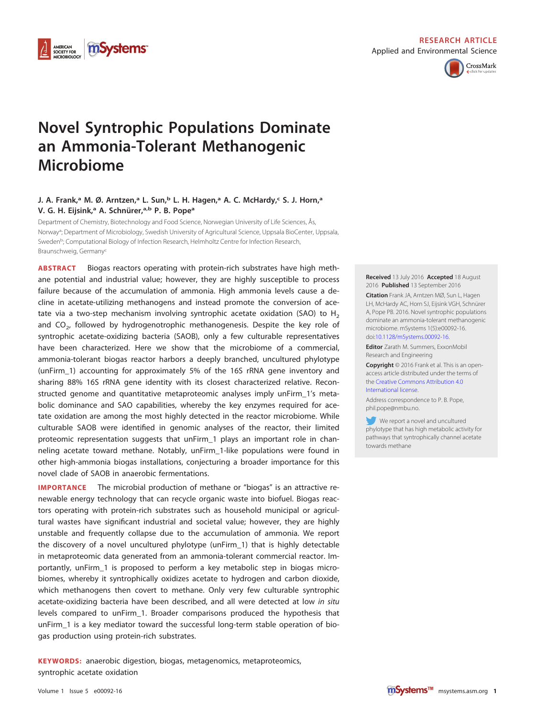

# **RESEARCH ARTICLE**

Applied and Environmental Science



# **Novel Syntrophic Populations Dominate an Ammonia-Tolerant Methanogenic Microbiome**

# **J. A. Frank,a M. Ø. Arntzen,a L. Sun,b L. H. Hagen,a A. C. McHardy,c S. J. Horn,a V. G. H. Eijsink,a A. Schnürer,a,b P. B. Popea**

Department of Chemistry, Biotechnology and Food Science, Norwegian University of Life Sciences, Ås, Norway<sup>a</sup>; Department of Microbiology, Swedish University of Agricultural Science, Uppsala BioCenter, Uppsala, Sweden<sup>b</sup>; Computational Biology of Infection Research, Helmholtz Centre for Infection Research, Braunschweig, Germanyc

**ABSTRACT** Biogas reactors operating with protein-rich substrates have high methane potential and industrial value; however, they are highly susceptible to process failure because of the accumulation of ammonia. High ammonia levels cause a decline in acetate-utilizing methanogens and instead promote the conversion of acetate via a two-step mechanism involving syntrophic acetate oxidation (SAO) to  $H_2$ and  $CO<sub>2</sub>$ , followed by hydrogenotrophic methanogenesis. Despite the key role of syntrophic acetate-oxidizing bacteria (SAOB), only a few culturable representatives have been characterized. Here we show that the microbiome of a commercial, ammonia-tolerant biogas reactor harbors a deeply branched, uncultured phylotype (unFirm\_1) accounting for approximately 5% of the 16S rRNA gene inventory and sharing 88% 16S rRNA gene identity with its closest characterized relative. Reconstructed genome and quantitative metaproteomic analyses imply unFirm\_1's metabolic dominance and SAO capabilities, whereby the key enzymes required for acetate oxidation are among the most highly detected in the reactor microbiome. While culturable SAOB were identified in genomic analyses of the reactor, their limited proteomic representation suggests that unFirm\_1 plays an important role in channeling acetate toward methane. Notably, unFirm\_1-like populations were found in other high-ammonia biogas installations, conjecturing a broader importance for this novel clade of SAOB in anaerobic fermentations.

**IMPORTANCE** The microbial production of methane or "biogas" is an attractive renewable energy technology that can recycle organic waste into biofuel. Biogas reactors operating with protein-rich substrates such as household municipal or agricultural wastes have significant industrial and societal value; however, they are highly unstable and frequently collapse due to the accumulation of ammonia. We report the discovery of a novel uncultured phylotype (unFirm\_1) that is highly detectable in metaproteomic data generated from an ammonia-tolerant commercial reactor. Importantly, unFirm\_1 is proposed to perform a key metabolic step in biogas microbiomes, whereby it syntrophically oxidizes acetate to hydrogen and carbon dioxide, which methanogens then covert to methane. Only very few culturable syntrophic acetate-oxidizing bacteria have been described, and all were detected at low in situ levels compared to unFirm\_1. Broader comparisons produced the hypothesis that unFirm\_1 is a key mediator toward the successful long-term stable operation of biogas production using protein-rich substrates.

**KEYWORDS:** anaerobic digestion, biogas, metagenomics, metaproteomics, syntrophic acetate oxidation

#### **Received** 13 July 2016 **Accepted** 18 August 2016 **Published** 13 September 2016

**Citation** Frank JA, Arntzen MØ, Sun L, Hagen LH, McHardy AC, Horn SJ, Eijsink VGH, Schnürer A, Pope PB. 2016. Novel syntrophic populations dominate an ammonia-tolerant methanogenic microbiome. mSystems 1(5):e00092-16. doi[:10.1128/mSystems.00092-16.](http://dx.doi.org/10.1128/mSystems.00092-16)

**Editor** Zarath M. Summers, ExxonMobil Research and Engineering

**Copyright** © 2016 Frank et al. This is an openaccess article distributed under the terms of the [Creative Commons Attribution 4.0](http://creativecommons.org/licenses/by/4.0/) [International license.](http://creativecommons.org/licenses/by/4.0/)

Address correspondence to P. B. Pope, phil.pope@nmbu.no.

We report a novel and uncultured phylotype that has high metabolic activity for pathways that syntrophically channel acetate towards methane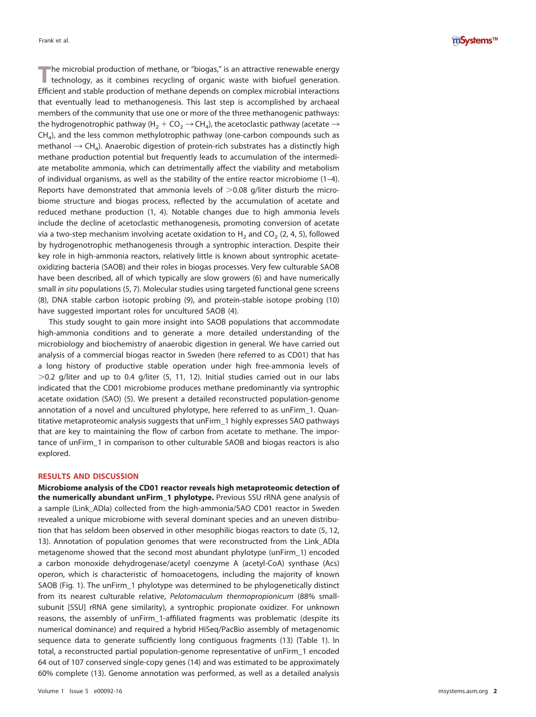mSystems™

**T**he microbial production of methane, or "biogas," is an attractive renewable energy technology, as it combines recycling of organic waste with biofuel generation. Efficient and stable production of methane depends on complex microbial interactions that eventually lead to methanogenesis. This last step is accomplished by archaeal members of the community that use one or more of the three methanogenic pathways: the hydrogenotrophic pathway (H<sub>2</sub> + CO<sub>2</sub>  $\rightarrow$  CH<sub>4</sub>), the acetoclastic pathway (acetate  $\rightarrow$  $CH<sub>4</sub>$ ), and the less common methylotrophic pathway (one-carbon compounds such as methanol  $\rightarrow$  CH<sub>4</sub>). Anaerobic digestion of protein-rich substrates has a distinctly high methane production potential but frequently leads to accumulation of the intermediate metabolite ammonia, which can detrimentally affect the viability and metabolism of individual organisms, as well as the stability of the entire reactor microbiome [\(1](#page-11-0)[–](#page-11-1)[4\)](#page-11-2). Reports have demonstrated that ammonia levels of  $>0.08$  g/liter disturb the microbiome structure and biogas process, reflected by the accumulation of acetate and reduced methane production [\(1,](#page-11-0) [4\)](#page-11-2). Notable changes due to high ammonia levels include the decline of acetoclastic methanogenesis, promoting conversion of acetate via a two-step mechanism involving acetate oxidation to  $H_2$  and CO<sub>2</sub> [\(2,](#page-11-3) [4,](#page-11-2) [5\)](#page-11-4), followed by hydrogenotrophic methanogenesis through a syntrophic interaction. Despite their key role in high-ammonia reactors, relatively little is known about syntrophic acetateoxidizing bacteria (SAOB) and their roles in biogas processes. Very few culturable SAOB have been described, all of which typically are slow growers [\(6\)](#page-11-5) and have numerically small in situ populations [\(5,](#page-11-4) [7\)](#page-11-6). Molecular studies using targeted functional gene screens [\(8\)](#page-11-7), DNA stable carbon isotopic probing [\(9\)](#page-11-8), and protein-stable isotope probing [\(10\)](#page-11-9) have suggested important roles for uncultured SAOB [\(4\)](#page-11-2).

This study sought to gain more insight into SAOB populations that accommodate high-ammonia conditions and to generate a more detailed understanding of the microbiology and biochemistry of anaerobic digestion in general. We have carried out analysis of a commercial biogas reactor in Sweden (here referred to as CD01) that has a long history of productive stable operation under high free-ammonia levels of  $>$  0.2 g/liter and up to 0.4 g/liter [\(5,](#page-11-4) [11,](#page-11-10) [12\)](#page-11-11). Initial studies carried out in our labs indicated that the CD01 microbiome produces methane predominantly via syntrophic acetate oxidation (SAO) [\(5\)](#page-11-4). We present a detailed reconstructed population-genome annotation of a novel and uncultured phylotype, here referred to as unFirm\_1. Quantitative metaproteomic analysis suggests that unFirm\_1 highly expresses SAO pathways that are key to maintaining the flow of carbon from acetate to methane. The importance of unFirm\_1 in comparison to other culturable SAOB and biogas reactors is also explored.

## **RESULTS AND DISCUSSION**

**Microbiome analysis of the CD01 reactor reveals high metaproteomic detection of the numerically abundant unFirm\_1 phylotype.** Previous SSU rRNA gene analysis of a sample (Link\_ADIa) collected from the high-ammonia/SAO CD01 reactor in Sweden revealed a unique microbiome with several dominant species and an uneven distribution that has seldom been observed in other mesophilic biogas reactors to date [\(5,](#page-11-4) [12,](#page-11-11) [13\)](#page-11-12). Annotation of population genomes that were reconstructed from the Link\_ADIa metagenome showed that the second most abundant phylotype (unFirm\_1) encoded a carbon monoxide dehydrogenase/acetyl coenzyme A (acetyl-CoA) synthase (Acs) operon, which is characteristic of homoacetogens, including the majority of known SAOB [\(Fig. 1\)](#page-2-0). The unFirm\_1 phylotype was determined to be phylogenetically distinct from its nearest culturable relative, Pelotomaculum thermopropionicum (88% smallsubunit [SSU] rRNA gene similarity), a syntrophic propionate oxidizer. For unknown reasons, the assembly of unFirm\_1-affiliated fragments was problematic (despite its numerical dominance) and required a hybrid HiSeq/PacBio assembly of metagenomic sequence data to generate sufficiently long contiguous fragments [\(13\)](#page-11-12) [\(Table 1\)](#page-3-0). In total, a reconstructed partial population-genome representative of unFirm\_1 encoded 64 out of 107 conserved single-copy genes [\(14\)](#page-11-13) and was estimated to be approximately 60% complete [\(13\)](#page-11-12). Genome annotation was performed, as well as a detailed analysis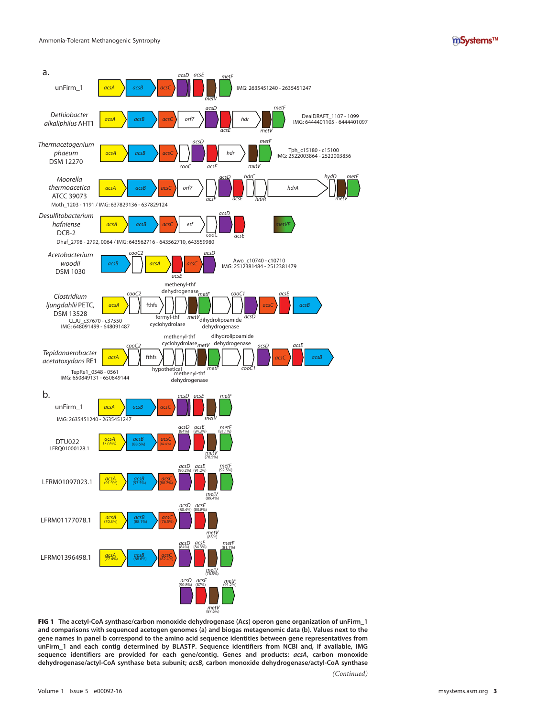



<span id="page-2-0"></span>FIG 1 **The acetyl-CoA synthase/carbon monoxide dehydrogenase (Acs) operon gene organization of unFirm\_1 and comparisons with sequenced acetogen genomes (a) and biogas metagenomic data (b). Values next to the gene names in panel b correspond to the amino acid sequence identities between gene representatives from unFirm\_1 and each contig determined by BLASTP. Sequence identifiers from NCBI and, if available, IMG sequence identifiers are provided for each gene/contig. Genes and products: acsA, carbon monoxide dehydrogenase/actyl-CoA synthase beta subunit; acsB, carbon monoxide dehydrogenase/actyl-CoA synthase** *(Continued)*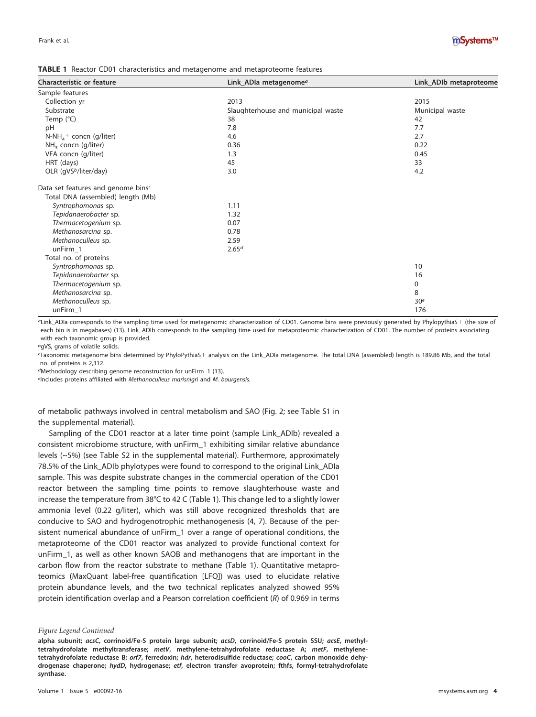

<span id="page-3-0"></span>

| <b>Characteristic or feature</b>   | Link_ADIa metagenome <sup>a</sup>  | Link_ADIb metaproteome |
|------------------------------------|------------------------------------|------------------------|
| Sample features                    |                                    |                        |
| Collection yr                      | 2013                               | 2015                   |
| Substrate                          | Slaughterhouse and municipal waste | Municipal waste        |
| Temp $(^{\circ}C)$                 | 38                                 | 42                     |
| pH                                 | 7.8                                | 7.7                    |
| $N-NH4$ concn (g/liter)            | 4.6                                | 2.7                    |
| $NH3$ concn (g/liter)              | 0.36                               | 0.22                   |
| VFA concn (g/liter)                | 1.3                                | 0.45                   |
| HRT (days)                         | 45                                 | 33                     |
| OLR (qVS <sup>b</sup> /liter/day)  | 3.0                                | 4.2                    |
| Data set features and genome binsc |                                    |                        |
| Total DNA (assembled) length (Mb)  |                                    |                        |
| Syntrophomonas sp.                 | 1.11                               |                        |
| Tepidanaerobacter sp.              | 1.32                               |                        |
| Thermacetogenium sp.               | 0.07                               |                        |
| Methanosarcina sp.                 | 0.78                               |                        |
| Methanoculleus sp.                 | 2.59                               |                        |
| unFirm 1                           | 2.65 <sup>d</sup>                  |                        |
| Total no. of proteins              |                                    |                        |
| Syntrophomonas sp.                 |                                    | 10                     |
| Tepidanaerobacter sp.              |                                    | 16                     |
| Thermacetogenium sp.               |                                    | 0                      |
| Methanosarcina sp.                 |                                    | 8                      |
| Methanoculleus sp.                 |                                    | 30 <sup>e</sup>        |
| unFirm_1                           |                                    | 176                    |

aLink\_ADIa corresponds to the sampling time used for metagenomic characterization of CD01. Genome bins were previously generated by PhylopythiaS- (the size of each bin is in megabases) [\(13\)](#page-11-12). Link\_ADIb corresponds to the sampling time used for metaproteomic characterization of CD01. The number of proteins associating with each taxonomic group is provided.

bgVS, grams of volatile solids.

Taxonomic metagenome bins determined by PhyloPythiaS+ analysis on the Link\_ADIa metagenome. The total DNA (assembled) length is 189.86 Mb, and the total no. of proteins is 2,312.

dMethodology describing genome reconstruction for unFirm\_1 [\(13\)](#page-11-12).

eIncludes proteins affiliated with Methanoculleus marisnigri and M. bourgensis.

of metabolic pathways involved in central metabolism and SAO [\(Fig. 2;](#page-4-0) see Table S1 in the supplemental material).

Sampling of the CD01 reactor at a later time point (sample Link\_ADIb) revealed a consistent microbiome structure, with unFirm\_1 exhibiting similar relative abundance levels (~5%) (see Table S2 in the supplemental material). Furthermore, approximately 78.5% of the Link\_ADIb phylotypes were found to correspond to the original Link\_ADIa sample. This was despite substrate changes in the commercial operation of the CD01 reactor between the sampling time points to remove slaughterhouse waste and increase the temperature from 38°C to 42 C [\(Table 1\)](#page-3-0). This change led to a slightly lower ammonia level (0.22 g/liter), which was still above recognized thresholds that are conducive to SAO and hydrogenotrophic methanogenesis [\(4,](#page-11-2) [7\)](#page-11-6). Because of the persistent numerical abundance of unFirm\_1 over a range of operational conditions, the metaproteome of the CD01 reactor was analyzed to provide functional context for unFirm\_1, as well as other known SAOB and methanogens that are important in the carbon flow from the reactor substrate to methane [\(Table 1\)](#page-3-0). Quantitative metaproteomics (MaxQuant label-free quantification [LFQ]) was used to elucidate relative protein abundance levels, and the two technical replicates analyzed showed 95% protein identification overlap and a Pearson correlation coefficient (R) of 0.969 in terms

#### *Figure Legend Continued*

**alpha subunit; acsC, corrinoid/Fe-S protein large subunit; acsD, corrinoid/Fe-S protein SSU; acsE, methyltetrahydrofolate methyltransferase; metV, methylene-tetrahydrofolate reductase A; metF, methylenetetrahydrofolate reductase B; orf7, ferredoxin; hdr, heterodisulfide reductase; cooC, carbon monoxide dehydrogenase chaperone; hydD, hydrogenase; etf, electron transfer avoprotein; fthfs, formyl-tetrahydrofolate synthase.**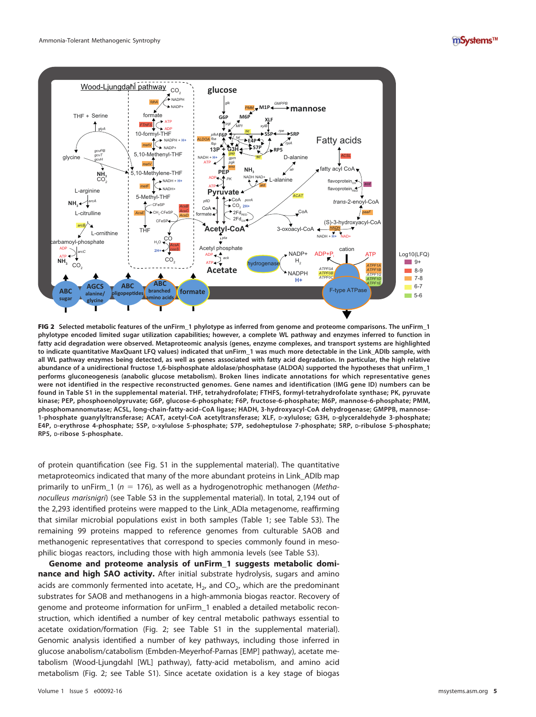



<span id="page-4-0"></span>FIG 2 **Selected metabolic features of the unFirm\_1 phylotype as inferred from genome and proteome comparisons. The unFirm\_1 phylotype encoded limited sugar utilization capabilities; however, a complete WL pathway and enzymes inferred to function in fatty acid degradation were observed. Metaproteomic analysis (genes, enzyme complexes, and transport systems are highlighted** to indicate quantitative MaxQuant LFQ values) indicated that unFirm 1 was much more detectable in the Link ADIb sample, with **all WL pathway enzymes being detected, as well as genes associated with fatty acid degradation. In particular, the high relative abundance of a unidirectional fructose 1,6-bisphosphate aldolase/phosphatase (ALDOA) supported the hypotheses that unFirm\_1 performs gluconeogenesis (anabolic glucose metabolism). Broken lines indicate annotations for which representative genes were not identified in the respective reconstructed genomes. Gene names and identification (IMG gene ID) numbers can be found in Table S1 in the supplemental material. THF, tetrahydrofolate; FTHFS, formyl-tetrahydrofolate synthase; PK, pyruvate kinase; PEP, phosphoenolpyruvate; G6P, glucose-6-phosphate; F6P, fructose-6-phosphate; M6P, mannose-6-phosphate; PMM, phosphomannomutase; ACSL, long-chain-fatty-acid–CoA ligase; HADH, 3-hydroxyacyl-CoA dehydrogenase; GMPPB, mannose-1-phosphate guanylyltransferase; ACAT, acetyl-CoA acetyltransferase; XLF, D-xylulose; G3H, D-glyceraldehyde 3-phosphate; E4P, D-erythrose 4-phosphate; 5SP, D-xylulose 5-phosphate; S7P, sedoheptulose 7-phosphate; 5RP, D-ribulose 5-phosphate; RP5, D-ribose 5-phosphate.**

of protein quantification (see Fig. S1 in the supplemental material). The quantitative metaproteomics indicated that many of the more abundant proteins in Link\_ADIb map primarily to unFirm\_1 ( $n = 176$ ), as well as a hydrogenotrophic methanogen (Methanoculleus marisnigri) (see Table S3 in the supplemental material). In total, 2,194 out of the 2,293 identified proteins were mapped to the Link\_ADIa metagenome, reaffirming that similar microbial populations exist in both samples [\(Table 1;](#page-3-0) see Table S3). The remaining 99 proteins mapped to reference genomes from culturable SAOB and methanogenic representatives that correspond to species commonly found in mesophilic biogas reactors, including those with high ammonia levels (see Table S3).

**Genome and proteome analysis of unFirm\_1 suggests metabolic dominance and high SAO activity.** After initial substrate hydrolysis, sugars and amino acids are commonly fermented into acetate,  $H<sub>2</sub>$ , and CO<sub>2</sub>, which are the predominant substrates for SAOB and methanogens in a high-ammonia biogas reactor. Recovery of genome and proteome information for unFirm\_1 enabled a detailed metabolic reconstruction, which identified a number of key central metabolic pathways essential to acetate oxidation/formation [\(Fig. 2;](#page-4-0) see Table S1 in the supplemental material). Genomic analysis identified a number of key pathways, including those inferred in glucose anabolism/catabolism (Embden-Meyerhof-Parnas [EMP] pathway), acetate metabolism (Wood-Ljungdahl [WL] pathway), fatty-acid metabolism, and amino acid metabolism [\(Fig. 2;](#page-4-0) see Table S1). Since acetate oxidation is a key stage of biogas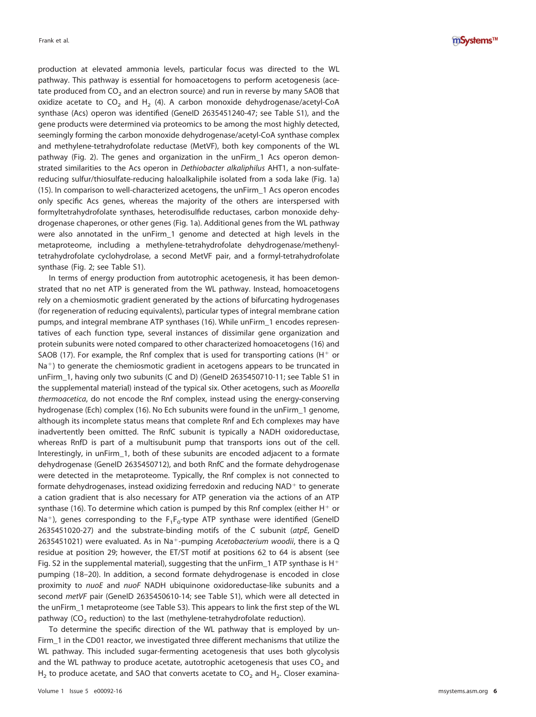mSystems™

production at elevated ammonia levels, particular focus was directed to the WL pathway. This pathway is essential for homoacetogens to perform acetogenesis (acetate produced from  $CO_2$  and an electron source) and run in reverse by many SAOB that oxidize acetate to  $CO<sub>2</sub>$  and H<sub>2</sub> [\(4\)](#page-11-2). A carbon monoxide dehydrogenase/acetyl-CoA synthase (Acs) operon was identified (GeneID 2635451240-47; see Table S1), and the gene products were determined via proteomics to be among the most highly detected, seemingly forming the carbon monoxide dehydrogenase/acetyl-CoA synthase complex and methylene-tetrahydrofolate reductase (MetVF), both key components of the WL pathway [\(Fig. 2\)](#page-4-0). The genes and organization in the unFirm\_1 Acs operon demonstrated similarities to the Acs operon in Dethiobacter alkaliphilus AHT1, a non-sulfatereducing sulfur/thiosulfate-reducing haloalkaliphile isolated from a soda lake [\(Fig. 1a\)](#page-2-0) [\(15\)](#page-11-14). In comparison to well-characterized acetogens, the unFirm\_1 Acs operon encodes only specific Acs genes, whereas the majority of the others are interspersed with formyltetrahydrofolate synthases, heterodisulfide reductases, carbon monoxide dehydrogenase chaperones, or other genes [\(Fig. 1a\)](#page-2-0). Additional genes from the WL pathway were also annotated in the unFirm\_1 genome and detected at high levels in the metaproteome, including a methylene-tetrahydrofolate dehydrogenase/methenyltetrahydrofolate cyclohydrolase, a second MetVF pair, and a formyl-tetrahydrofolate synthase [\(Fig. 2;](#page-4-0) see Table S1).

In terms of energy production from autotrophic acetogenesis, it has been demonstrated that no net ATP is generated from the WL pathway. Instead, homoacetogens rely on a chemiosmotic gradient generated by the actions of bifurcating hydrogenases (for regeneration of reducing equivalents), particular types of integral membrane cation pumps, and integral membrane ATP synthases [\(16\)](#page-11-15). While unFirm\_1 encodes representatives of each function type, several instances of dissimilar gene organization and protein subunits were noted compared to other characterized homoacetogens [\(16\)](#page-11-15) and SAOB [\(17\)](#page-11-16). For example, the Rnf complex that is used for transporting cations (H $+$  or Na<sup>+</sup>) to generate the chemiosmotic gradient in acetogens appears to be truncated in unFirm\_1, having only two subunits (C and D) (GeneID 2635450710-11; see Table S1 in the supplemental material) instead of the typical six. Other acetogens, such as Moorella thermoacetica, do not encode the Rnf complex, instead using the energy-conserving hydrogenase (Ech) complex [\(16\)](#page-11-15). No Ech subunits were found in the unFirm\_1 genome, although its incomplete status means that complete Rnf and Ech complexes may have inadvertently been omitted. The RnfC subunit is typically a NADH oxidoreductase, whereas RnfD is part of a multisubunit pump that transports ions out of the cell. Interestingly, in unFirm\_1, both of these subunits are encoded adjacent to a formate dehydrogenase (GeneID 2635450712), and both RnfC and the formate dehydrogenase were detected in the metaproteome. Typically, the Rnf complex is not connected to formate dehydrogenases, instead oxidizing ferredoxin and reducing  $\mathsf{NAD^+}$  to generate a cation gradient that is also necessary for ATP generation via the actions of an ATP synthase [\(16\)](#page-11-15). To determine which cation is pumped by this Rnf complex (either  $H^+$  or Na<sup>+</sup>), genes corresponding to the  $F_1F_0$ -type ATP synthase were identified (GenelD 2635451020-27) and the substrate-binding motifs of the C subunit (atpE, GeneID 2635451021) were evaluated. As in Na<sup>+</sup>-pumping Acetobacterium woodii, there is a Q residue at position 29; however, the ET/ST motif at positions 62 to 64 is absent (see Fig. S2 in the supplemental material), suggesting that the unFirm\_1 ATP synthase is  $H^+$ pumping [\(18](#page-11-17)[–](#page-11-18)[20\)](#page-11-19). In addition, a second formate dehydrogenase is encoded in close proximity to nuoE and nuoF NADH ubiquinone oxidoreductase-like subunits and a second metVF pair (GeneID 2635450610-14; see Table S1), which were all detected in the unFirm\_1 metaproteome (see Table S3). This appears to link the first step of the WL pathway ( $CO<sub>2</sub>$  reduction) to the last (methylene-tetrahydrofolate reduction).

To determine the specific direction of the WL pathway that is employed by un-Firm\_1 in the CD01 reactor, we investigated three different mechanisms that utilize the WL pathway. This included sugar-fermenting acetogenesis that uses both glycolysis and the WL pathway to produce acetate, autotrophic acetogenesis that uses  $CO<sub>2</sub>$  and  $H_2$  to produce acetate, and SAO that converts acetate to CO<sub>2</sub> and H<sub>2</sub>. Closer examina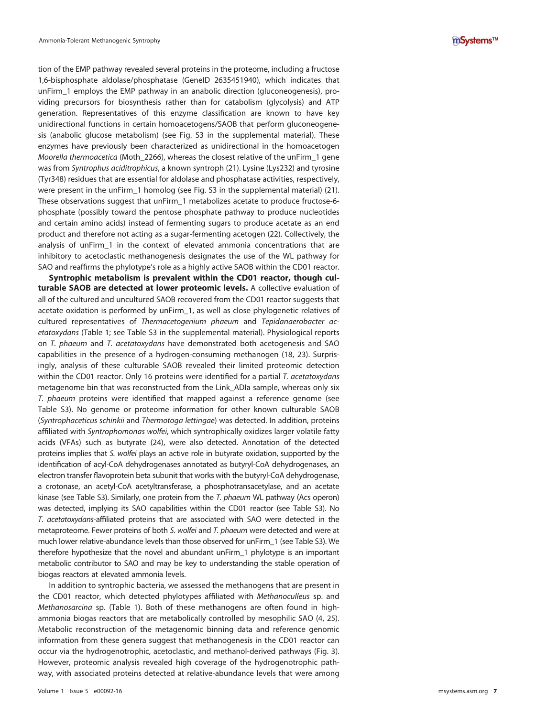tion of the EMP pathway revealed several proteins in the proteome, including a fructose 1,6-bisphosphate aldolase/phosphatase (GeneID 2635451940), which indicates that unFirm\_1 employs the EMP pathway in an anabolic direction (gluconeogenesis), providing precursors for biosynthesis rather than for catabolism (glycolysis) and ATP generation. Representatives of this enzyme classification are known to have key unidirectional functions in certain homoacetogens/SAOB that perform gluconeogenesis (anabolic glucose metabolism) (see Fig. S3 in the supplemental material). These enzymes have previously been characterized as unidirectional in the homoacetogen Moorella thermoacetica (Moth\_2266), whereas the closest relative of the unFirm\_1 gene was from Syntrophus aciditrophicus, a known syntroph [\(21\)](#page-11-20). Lysine (Lys232) and tyrosine (Tyr348) residues that are essential for aldolase and phosphatase activities, respectively, were present in the unFirm\_1 homolog (see Fig. S3 in the supplemental material) [\(21\)](#page-11-20). These observations suggest that unFirm\_1 metabolizes acetate to produce fructose-6 phosphate (possibly toward the pentose phosphate pathway to produce nucleotides and certain amino acids) instead of fermenting sugars to produce acetate as an end product and therefore not acting as a sugar-fermenting acetogen [\(22\)](#page-11-21). Collectively, the analysis of unFirm\_1 in the context of elevated ammonia concentrations that are inhibitory to acetoclastic methanogenesis designates the use of the WL pathway for SAO and reaffirms the phylotype's role as a highly active SAOB within the CD01 reactor.

**Syntrophic metabolism is prevalent within the CD01 reactor, though culturable SAOB are detected at lower proteomic levels.** A collective evaluation of all of the cultured and uncultured SAOB recovered from the CD01 reactor suggests that acetate oxidation is performed by unFirm\_1, as well as close phylogenetic relatives of cultured representatives of Thermacetogenium phaeum and Tepidanaerobacter acetatoxydans [\(Table 1;](#page-3-0) see Table S3 in the supplemental material). Physiological reports on T. phaeum and T. acetatoxydans have demonstrated both acetogenesis and SAO capabilities in the presence of a hydrogen-consuming methanogen [\(18,](#page-11-17) [23\)](#page-11-22). Surprisingly, analysis of these culturable SAOB revealed their limited proteomic detection within the CD01 reactor. Only 16 proteins were identified for a partial T. acetatoxydans metagenome bin that was reconstructed from the Link\_ADIa sample, whereas only six T. phaeum proteins were identified that mapped against a reference genome (see Table S3). No genome or proteome information for other known culturable SAOB (Syntrophaceticus schinkii and Thermotoga lettingae) was detected. In addition, proteins affiliated with Syntrophomonas wolfei, which syntrophically oxidizes larger volatile fatty acids (VFAs) such as butyrate [\(24\)](#page-11-23), were also detected. Annotation of the detected proteins implies that S. wolfei plays an active role in butyrate oxidation, supported by the identification of acyl-CoA dehydrogenases annotated as butyryl-CoA dehydrogenases, an electron transfer flavoprotein beta subunit that works with the butyryl-CoA dehydrogenase, a crotonase, an acetyl-CoA acetyltransferase, a phosphotransacetylase, and an acetate kinase (see Table S3). Similarly, one protein from the T. phaeum WL pathway (Acs operon) was detected, implying its SAO capabilities within the CD01 reactor (see Table S3). No T. acetatoxydans-affiliated proteins that are associated with SAO were detected in the metaproteome. Fewer proteins of both S. wolfei and T. phaeum were detected and were at much lower relative-abundance levels than those observed for unFirm\_1 (see Table S3). We therefore hypothesize that the novel and abundant unFirm\_1 phylotype is an important metabolic contributor to SAO and may be key to understanding the stable operation of biogas reactors at elevated ammonia levels.

In addition to syntrophic bacteria, we assessed the methanogens that are present in the CD01 reactor, which detected phylotypes affiliated with Methanoculleus sp. and Methanosarcina sp. [\(Table 1\)](#page-3-0). Both of these methanogens are often found in highammonia biogas reactors that are metabolically controlled by mesophilic SAO [\(4,](#page-11-2) [25\)](#page-11-24). Metabolic reconstruction of the metagenomic binning data and reference genomic information from these genera suggest that methanogenesis in the CD01 reactor can occur via the hydrogenotrophic, acetoclastic, and methanol-derived pathways [\(Fig. 3\)](#page-7-0). However, proteomic analysis revealed high coverage of the hydrogenotrophic pathway, with associated proteins detected at relative-abundance levels that were among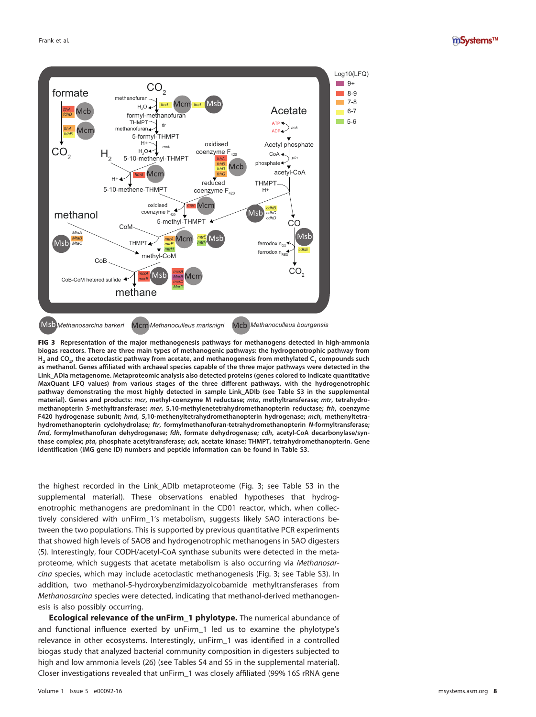



<span id="page-7-0"></span>FIG 3 **Representation of the major methanogenesis pathways for methanogens detected in high-ammonia biogas reactors. There are three main types of methanogenic pathways: the hydrogenotrophic pathway from H2 and CO2, the acetoclastic pathway from acetate, and methanogenesis from methylated C1 compounds such as methanol. Genes affiliated with archaeal species capable of the three major pathways were detected in the Link\_ADIa metagenome. Metaproteomic analysis also detected proteins (genes colored to indicate quantitative MaxQuant LFQ values) from various stages of the three different pathways, with the hydrogenotrophic pathway demonstrating the most highly detected in sample Link\_ADIb (see Table S3 in the supplemental material). Genes and products: mcr, methyl-coenzyme M reductase; mta, methyltransferase; mtr, tetrahydromethanopterin S-methyltransferase; mer, 5,10-methylenetetrahydromethanopterin reductase; frh, coenzyme F420 hydrogenase subunit; hmd, 5,10-methenyltetrahydromethanopterin hydrogenase; mch, methenyltetrahydromethanopterin cyclohydrolase; ftr, formylmethanofuran-tetrahydromethanopterin N-formyltransferase; fmd, formylmethanofuran dehydrogenase; fdh, formate dehydrogenase; cdh, acetyl-CoA decarbonylase/synthase complex; pta, phosphate acetyltransferase; ack, acetate kinase; THMPT, tetrahydromethanopterin. Gene identification (IMG gene ID) numbers and peptide information can be found in Table S3.**

the highest recorded in the Link\_ADIb metaproteome [\(Fig. 3;](#page-7-0) see Table S3 in the supplemental material). These observations enabled hypotheses that hydrogenotrophic methanogens are predominant in the CD01 reactor, which, when collectively considered with unFirm\_1's metabolism, suggests likely SAO interactions between the two populations. This is supported by previous quantitative PCR experiments that showed high levels of SAOB and hydrogenotrophic methanogens in SAO digesters [\(5\)](#page-11-4). Interestingly, four CODH/acetyl-CoA synthase subunits were detected in the metaproteome, which suggests that acetate metabolism is also occurring via Methanosarcina species, which may include acetoclastic methanogenesis [\(Fig. 3;](#page-7-0) see Table S3). In addition, two methanol-5-hydroxybenzimidazyolcobamide methyltransferases from Methanosarcina species were detected, indicating that methanol-derived methanogenesis is also possibly occurring.

**Ecological relevance of the unFirm\_1 phylotype.** The numerical abundance of and functional influence exerted by unFirm\_1 led us to examine the phylotype's relevance in other ecosystems. Interestingly, unFirm\_1 was identified in a controlled biogas study that analyzed bacterial community composition in digesters subjected to high and low ammonia levels [\(26\)](#page-12-0) (see Tables S4 and S5 in the supplemental material). Closer investigations revealed that unFirm\_1 was closely affiliated (99% 16S rRNA gene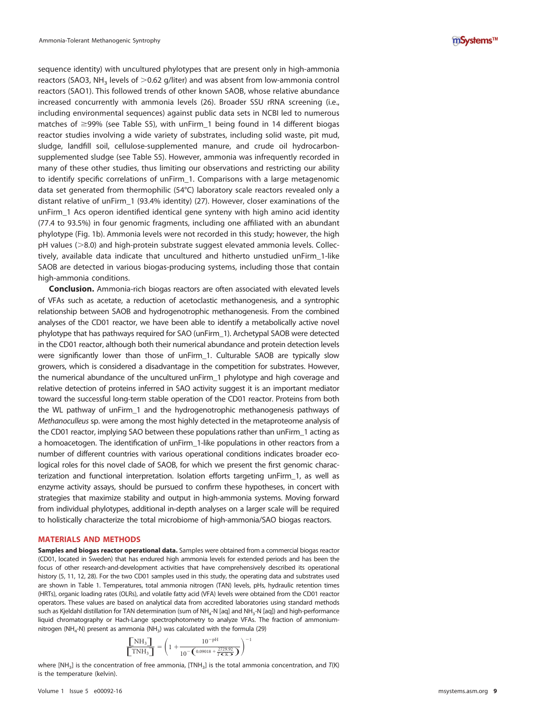sequence identity) with uncultured phylotypes that are present only in high-ammonia reactors (SAO3, NH<sub>3</sub> levels of  $>$ 0.62 g/liter) and was absent from low-ammonia control reactors (SAO1). This followed trends of other known SAOB, whose relative abundance increased concurrently with ammonia levels [\(26\)](#page-12-0). Broader SSU rRNA screening (i.e., including environmental sequences) against public data sets in NCBI led to numerous matches of ≥99% (see Table S5), with unFirm\_1 being found in 14 different biogas reactor studies involving a wide variety of substrates, including solid waste, pit mud, sludge, landfill soil, cellulose-supplemented manure, and crude oil hydrocarbonsupplemented sludge (see Table S5). However, ammonia was infrequently recorded in many of these other studies, thus limiting our observations and restricting our ability to identify specific correlations of unFirm\_1. Comparisons with a large metagenomic data set generated from thermophilic (54°C) laboratory scale reactors revealed only a distant relative of unFirm\_1 (93.4% identity) [\(27\)](#page-12-1). However, closer examinations of the unFirm\_1 Acs operon identified identical gene synteny with high amino acid identity (77.4 to 93.5%) in four genomic fragments, including one affiliated with an abundant phylotype [\(Fig. 1b\)](#page-2-0). Ammonia levels were not recorded in this study; however, the high  $pH$  values ( $>8.0$ ) and high-protein substrate suggest elevated ammonia levels. Collectively, available data indicate that uncultured and hitherto unstudied unFirm\_1-like SAOB are detected in various biogas-producing systems, including those that contain high-ammonia conditions.

**Conclusion.** Ammonia-rich biogas reactors are often associated with elevated levels of VFAs such as acetate, a reduction of acetoclastic methanogenesis, and a syntrophic relationship between SAOB and hydrogenotrophic methanogenesis. From the combined analyses of the CD01 reactor, we have been able to identify a metabolically active novel phylotype that has pathways required for SAO (unFirm\_1). Archetypal SAOB were detected in the CD01 reactor, although both their numerical abundance and protein detection levels were significantly lower than those of unFirm 1. Culturable SAOB are typically slow growers, which is considered a disadvantage in the competition for substrates. However, the numerical abundance of the uncultured unFirm\_1 phylotype and high coverage and relative detection of proteins inferred in SAO activity suggest it is an important mediator toward the successful long-term stable operation of the CD01 reactor. Proteins from both the WL pathway of unFirm\_1 and the hydrogenotrophic methanogenesis pathways of Methanoculleus sp. were among the most highly detected in the metaproteome analysis of the CD01 reactor, implying SAO between these populations rather than unFirm\_1 acting as a homoacetogen. The identification of unFirm\_1-like populations in other reactors from a number of different countries with various operational conditions indicates broader ecological roles for this novel clade of SAOB, for which we present the first genomic characterization and functional interpretation. Isolation efforts targeting unFirm\_1, as well as enzyme activity assays, should be pursued to confirm these hypotheses, in concert with strategies that maximize stability and output in high-ammonia systems. Moving forward from individual phylotypes, additional in-depth analyses on a larger scale will be required to holistically characterize the total microbiome of high-ammonia/SAO biogas reactors.

### **MATERIALS AND METHODS**

**Samples and biogas reactor operational data.** Samples were obtained from a commercial biogas reactor (CD01, located in Sweden) that has endured high ammonia levels for extended periods and has been the focus of other research-and-development activities that have comprehensively described its operational history [\(5,](#page-11-4) [11,](#page-11-10) [12,](#page-11-11) [28\)](#page-12-2). For the two CD01 samples used in this study, the operating data and substrates used are shown in [Table 1.](#page-3-0) Temperatures, total ammonia nitrogen (TAN) levels, pHs, hydraulic retention times (HRTs), organic loading rates (OLRs), and volatile fatty acid (VFA) levels were obtained from the CD01 reactor operators. These values are based on analytical data from accredited laboratories using standard methods such as Kjeldahl distillation for TAN determination (sum of NH<sub>4</sub>-N [aq] and NH<sub>3</sub>-N [aq]) and high-performance liquid chromatography or Hach-Lange spectrophotometry to analyze VFAs. The fraction of ammonium-nitrogen (NH<sub>4</sub>-N) present as ammonia (NH<sub>3</sub>) was calculated with the formula [\(29\)](#page-12-3)<br> $\text{MH}_3 \begin{bmatrix} \text{NH}_3 \end{bmatrix} = \begin{pmatrix} 1 + \end{pmatrix} 10^{-pH} \end{pmatrix}^{-1}$ 

$$
\frac{\left[\text{NH}_3\right]}{\left[\text{TNH}_3\right]} = \left(1 + \frac{10^{-\text{pH}}}{10^{-\left(\text{0.09018} + \frac{2729.92}{\text{T K K3}}\right)}}\right)^{-1}
$$

where [NH<sub>3</sub>] is the concentration of free ammonia, [TNH<sub>3</sub>] is the total ammonia concentration, and  $T(K)$ is the temperature (kelvin).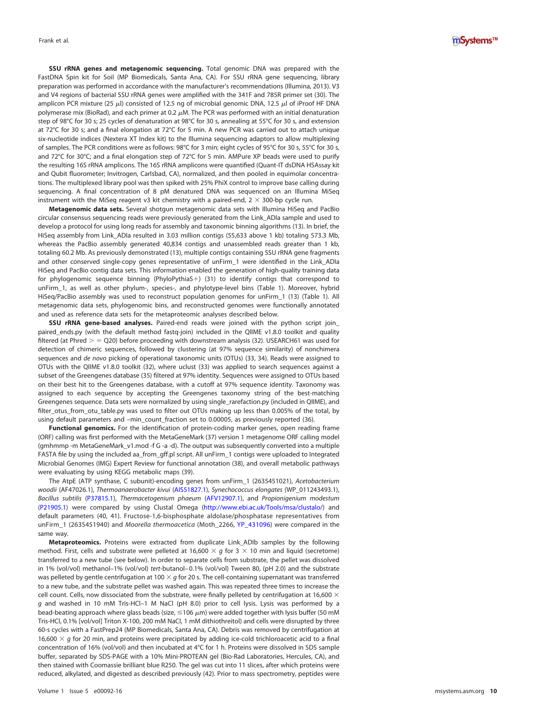**SSU rRNA genes and metagenomic sequencing.** Total genomic DNA was prepared with the FastDNA Spin kit for Soil (MP Biomedicals, Santa Ana, CA). For SSU rRNA gene sequencing, library preparation was performed in accordance with the manufacturer's recommendations (Illumina, 2013). V3 and V4 regions of bacterial SSU rRNA genes were amplified with the 341F and 785R primer set [\(30\)](#page-12-4). The amplicon PCR mixture (25  $\mu$ ) consisted of 12.5 ng of microbial genomic DNA, 12.5  $\mu$  of iProof HF DNA polymerase mix (BioRad), and each primer at 0.2  $\mu$ M. The PCR was performed with an initial denaturation step of 98°C for 30 s; 25 cycles of denaturation at 98°C for 30 s, annealing at 55°C for 30 s, and extension at 72°C for 30 s; and a final elongation at 72°C for 5 min. A new PCR was carried out to attach unique six-nucleotide indices (Nextera XT Index kit) to the Illumina sequencing adaptors to allow multiplexing of samples. The PCR conditions were as follows: 98°C for 3 min; eight cycles of 95°C for 30 s, 55°C for 30 s, and 72°C for 30°C; and a final elongation step of 72°C for 5 min. AMPure XP beads were used to purify the resulting 16S rRNA amplicons. The 16S rRNA amplicons were quantified (Quant-IT dsDNA HSAssay kit and Qubit fluorometer; Invitrogen, Carlsbad, CA), normalized, and then pooled in equimolar concentrations. The multiplexed library pool was then spiked with 25% PhiX control to improve base calling during sequencing. A final concentration of 8 pM denatured DNA was sequenced on an Illumina MiSeq instrument with the MiSeq reagent v3 kit chemistry with a paired-end,  $2 \times 300$ -bp cycle run.

**Metagenomic data sets.** Several shotgun metagenomic data sets with Illumina HiSeq and PacBio circular consensus sequencing reads were previously generated from the Link\_ADIa sample and used to develop a protocol for using long reads for assembly and taxonomic binning algorithms [\(13\)](#page-11-12). In brief, the HiSeq assembly from Link\_ADIa resulted in 3.03 million contigs (55,633 above 1 kb) totaling 573.3 Mb, whereas the PacBio assembly generated 40,834 contigs and unassembled reads greater than 1 kb, totaling 60.2 Mb. As previously demonstrated [\(13\)](#page-11-12), multiple contigs containing SSU rRNA gene fragments and other conserved single-copy genes representative of unFirm\_1 were identified in the Link\_ADIa HiSeq and PacBio contig data sets. This information enabled the generation of high-quality training data for phylogenomic sequence binning (PhyloPythiaS-) [\(31\)](#page-12-5) to identify contigs that correspond to unFirm\_1, as well as other phylum-, species-, and phylotype-level bins [\(Table 1\)](#page-3-0). Moreover, hybrid HiSeq/PacBio assembly was used to reconstruct population genomes for unFirm\_1 [\(13\)](#page-11-12) [\(Table 1\)](#page-3-0). All metagenomic data sets, phylogenomic bins, and reconstructed genomes were functionally annotated and used as reference data sets for the metaproteomic analyses described below.

**SSU rRNA gene-based analyses.** Paired-end reads were joined with the python script join\_ paired\_ends.py (with the default method fastq-join) included in the QIIME v1.8.0 toolkit and quality filtered (at Phred  $>$  = Q20) before proceeding with downstream analysis [\(32\)](#page-12-6). USEARCH61 was used for detection of chimeric sequences, followed by clustering (at 97% sequence similarity) of nonchimera sequences and de novo picking of operational taxonomic units (OTUs) [\(33,](#page-12-7) [34\)](#page-12-8). Reads were assigned to OTUs with the QIIME v1.8.0 toolkit [\(32\)](#page-12-6), where uclust [\(33\)](#page-12-7) was applied to search sequences against a subset of the Greengenes database [\(35\)](#page-12-9) filtered at 97% identity. Sequences were assigned to OTUs based on their best hit to the Greengenes database, with a cutoff at 97% sequence identity. Taxonomy was assigned to each sequence by accepting the Greengenes taxonomy string of the best-matching Greengenes sequence. Data sets were normalized by using single\_rarefaction.py (included in QIIME), and filter\_otus\_from\_otu\_table.py was used to filter out OTUs making up less than 0.005% of the total, by using default parameters and –min\_count\_fraction set to 0.00005, as previously reported [\(36\)](#page-12-10).

**Functional genomics.** For the identification of protein-coding marker genes, open reading frame (ORF) calling was first performed with the MetaGeneMark [\(37\)](#page-12-11) version 1 metagenome ORF calling model (gmhmmp -m MetaGeneMark\_v1.mod -f G -a -d). The output was subsequently converted into a multiple FASTA file by using the included aa\_from\_gff.pl script. All unFirm\_1 contigs were uploaded to Integrated Microbial Genomes (IMG) Expert Review for functional annotation [\(38\)](#page-12-12), and overall metabolic pathways were evaluating by using KEGG metabolic maps [\(39\)](#page-12-13).

The AtpE (ATP synthase, C subunit)-encoding genes from unFirm\_1 (2635451021), Acetobacterium woodii (AF47026.1), Thermoanaerobacter kivui [\(AIS51827.1\)](http://www.ncbi.nlm.nih.gov/nuccore/AIS51827.1), Synechococcus elongates (WP\_011243493.1), Bacillus subtilis [\(P37815.1\)](http://www.uniprot.org/uniprot/P37815), Thermacetogenium phaeum [\(AFV12907.1\)](http://www.ncbi.nlm.nih.gov/nuccore/AFV12907.1), and Propionigenium modestum [\(P21905.1\)](http://www.uniprot.org/uniprot/P21905) were compared by using Clustal Omega [\(http://www.ebi.ac.uk/Tools/msa/clustalo/\)](http://www.ebi.ac.uk/Tools/msa/clustalo/) and default parameters [\(40,](#page-12-14) [41\)](#page-12-15). Fructose-1,6-bisphosphate aldolase/phosphatase representatives from unFirm\_1 (2635451940) and Moorella thermoacetica (Moth\_2266, [YP\\_431096\)](http://www.ncbi.nlm.nih.gov/protein/YP_431096) were compared in the same way.

**Metaproteomics.** Proteins were extracted from duplicate Link\_ADIb samples by the following method. First, cells and substrate were pelleted at 16,600  $\times$  g for 3  $\times$  10 min and liquid (secretome) transferred to a new tube (see below). In order to separate cells from substrate, the pellet was dissolved in 1% (vol/vol) methanol–1% (vol/vol) tert-butanol– 0.1% (vol/vol) Tween 80, (pH 2.0) and the substrate was pelleted by gentle centrifugation at 100  $\times$  g for 20 s. The cell-containing supernatant was transferred to a new tube, and the substrate pellet was washed again. This was repeated three times to increase the cell count. Cells, now dissociated from the substrate, were finally pelleted by centrifugation at 16,600  $\times$ g and washed in 10 mM Tris-HCl–1 M NaCl (pH 8.0) prior to cell lysis. Lysis was performed by a bead-beating approach where glass beads (size,  $\leq$ 106  $\mu$ m) were added together with lysis buffer (50 mM Tris-HCl, 0.1% [vol/vol] Triton X-100, 200 mM NaCl, 1 mM dithiothreitol) and cells were disrupted by three 60-s cycles with a FastPrep24 (MP Biomedicals, Santa Ana, CA). Debris was removed by centrifugation at 16,600  $\times$  g for 20 min, and proteins were precipitated by adding ice-cold trichloroacetic acid to a final concentration of 16% (vol/vol) and then incubated at 4°C for 1 h. Proteins were dissolved in SDS sample buffer, separated by SDS-PAGE with a 10% Mini-PROTEAN gel (Bio-Rad Laboratories, Hercules, CA), and then stained with Coomassie brilliant blue R250. The gel was cut into 11 slices, after which proteins were reduced, alkylated, and digested as described previously [\(42\)](#page-12-16). Prior to mass spectrometry, peptides were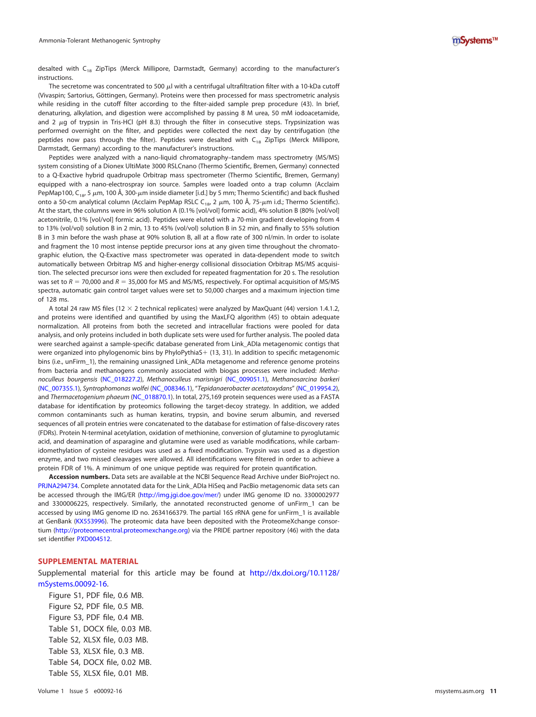desalted with  $C_{18}$  ZipTips (Merck Millipore, Darmstadt, Germany) according to the manufacturer's instructions.

The secretome was concentrated to 500  $\mu$  with a centrifugal ultrafiltration filter with a 10-kDa cutoff (Vivaspin; Sartorius, Göttingen, Germany). Proteins were then processed for mass spectrometric analysis while residing in the cutoff filter according to the filter-aided sample prep procedure [\(43\)](#page-12-17). In brief, denaturing, alkylation, and digestion were accomplished by passing 8 M urea, 50 mM iodoacetamide, and 2  $\mu$ g of trypsin in Tris-HCl (pH 8.3) through the filter in consecutive steps. Trypsinization was performed overnight on the filter, and peptides were collected the next day by centrifugation (the peptides now pass through the filter). Peptides were desalted with  $C_{18}$  ZipTips (Merck Millipore, Darmstadt, Germany) according to the manufacturer's instructions.

Peptides were analyzed with a nano-liquid chromatography–tandem mass spectrometry (MS/MS) system consisting of a Dionex UltiMate 3000 RSLCnano (Thermo Scientific, Bremen, Germany) connected to a Q-Exactive hybrid quadrupole Orbitrap mass spectrometer (Thermo Scientific, Bremen, Germany) equipped with a nano-electrospray ion source. Samples were loaded onto a trap column (Acclaim PepMap100, C<sub>18</sub>, 5  $\mu$ m, 100 Å, 300- $\mu$ m inside diameter [i.d.] by 5 mm; Thermo Scientific) and back flushed onto a 50-cm analytical column (Acclaim PepMap RSLC C<sub>18</sub>, 2  $\mu$ m, 100 Å, 75- $\mu$ m i.d.; Thermo Scientific). At the start, the columns were in 96% solution A (0.1% [vol/vol] formic acid), 4% solution B (80% [vol/vol] acetonitrile, 0.1% [vol/vol] formic acid). Peptides were eluted with a 70-min gradient developing from 4 to 13% (vol/vol) solution B in 2 min, 13 to 45% (vol/vol) solution B in 52 min, and finally to 55% solution B in 3 min before the wash phase at 90% solution B, all at a flow rate of 300 nl/min. In order to isolate and fragment the 10 most intense peptide precursor ions at any given time throughout the chromatographic elution, the Q-Exactive mass spectrometer was operated in data-dependent mode to switch automatically between Orbitrap MS and higher-energy collisional dissociation Orbitrap MS/MS acquisition. The selected precursor ions were then excluded for repeated fragmentation for 20 s. The resolution was set to  $R = 70,000$  and  $R = 35,000$  for MS and MS/MS, respectively. For optimal acquisition of MS/MS spectra, automatic gain control target values were set to 50,000 charges and a maximum injection time of 128 ms.

A total 24 raw MS files (12  $\times$  2 technical replicates) were analyzed by MaxQuant [\(44\)](#page-12-18) version 1.4.1.2, and proteins were identified and quantified by using the MaxLFQ algorithm [\(45\)](#page-12-19) to obtain adequate normalization. All proteins from both the secreted and intracellular fractions were pooled for data analysis, and only proteins included in both duplicate sets were used for further analysis. The pooled data were searched against a sample-specific database generated from Link\_ADIa metagenomic contigs that were organized into phylogenomic bins by PhyloPythiaS+ [\(13,](#page-11-12) [31\)](#page-12-5). In addition to specific metagenomic bins (i.e., unFirm\_1), the remaining unassigned Link\_ADIa metagenome and reference genome proteins from bacteria and methanogens commonly associated with biogas processes were included: Methanoculleus bourgensis [\(NC\\_018227.2\)](http://www.ncbi.nlm.nih.gov/nuccore/NC_018227.2), Methanoculleus marisnigri [\(NC\\_009051.1\)](http://www.ncbi.nlm.nih.gov/nuccore/NC_009051.1), Methanosarcina barkeri [\(NC\\_007355.1\)](http://www.ncbi.nlm.nih.gov/nuccore/NC_007355.1), Syntrophomonas wolfei [\(NC\\_008346.1\)](http://www.ncbi.nlm.nih.gov/nuccore/NC_008346.1), "Tepidanaerobacter acetatoxydans" [\(NC\\_019954.2\)](http://www.ncbi.nlm.nih.gov/nuccore/NC_019954.2), and Thermacetogenium phaeum [\(NC\\_018870.1\)](http://www.ncbi.nlm.nih.gov/nuccore/NC_018870.1). In total, 275,169 protein sequences were used as a FASTA database for identification by proteomics following the target-decoy strategy. In addition, we added common contaminants such as human keratins, trypsin, and bovine serum albumin, and reversed sequences of all protein entries were concatenated to the database for estimation of false-discovery rates (FDRs). Protein N-terminal acetylation, oxidation of methionine, conversion of glutamine to pyroglutamic acid, and deamination of asparagine and glutamine were used as variable modifications, while carbamidomethylation of cysteine residues was used as a fixed modification. Trypsin was used as a digestion enzyme, and two missed cleavages were allowed. All identifications were filtered in order to achieve a protein FDR of 1%. A minimum of one unique peptide was required for protein quantification.

**Accession numbers.** Data sets are available at the NCBI Sequence Read Archive under BioProject no. [PRJNA294734.](https://www.ncbi.nlm.nih.gov/bioproject/?term=PRJNA294734) Complete annotated data for the Link\_ADIa HiSeq and PacBio metagenomic data sets can be accessed through the IMG/ER [\(http://img.jgi.doe.gov/mer/\)](http://img.jgi.doe.gov/mer/) under IMG genome ID no. 3300002977 and 3300006225, respectively. Similarly, the annotated reconstructed genome of unFirm\_1 can be accessed by using IMG genome ID no. 2634166379. The partial 16S rRNA gene for unFirm\_1 is available at GenBank [\(KX553996\)](http://www.ncbi.nlm.nih.gov/nuccore/KX553996). The proteomic data have been deposited with the ProteomeXchange consortium [\(http://proteomecentral.proteomexchange.org\)](http://proteomecentral.proteomexchange.org) via the PRIDE partner repository [\(46\)](#page-12-20) with the data set identifier [PXD004512.](http://proteomecentral.proteomexchange.org/cgi/GetDataset?ID=PXD004512)

### **SUPPLEMENTAL MATERIAL**

Supplemental material for this article may be found at [http://dx.doi.org/10.1128/](http://dx.doi.org/10.1128/mSystems.00092-16) [mSystems.00092-16.](http://dx.doi.org/10.1128/mSystems.00092-16)

Figure S1, PDF file, 0.6 MB. Figure S2, PDF file, 0.5 MB. Figure S3, PDF file, 0.4 MB. Table S1, DOCX file, 0.03 MB. Table S2, XLSX file, 0.03 MB. Table S3, XLSX file, 0.3 MB. Table S4, DOCX file, 0.02 MB. Table S5, XLSX file, 0.01 MB.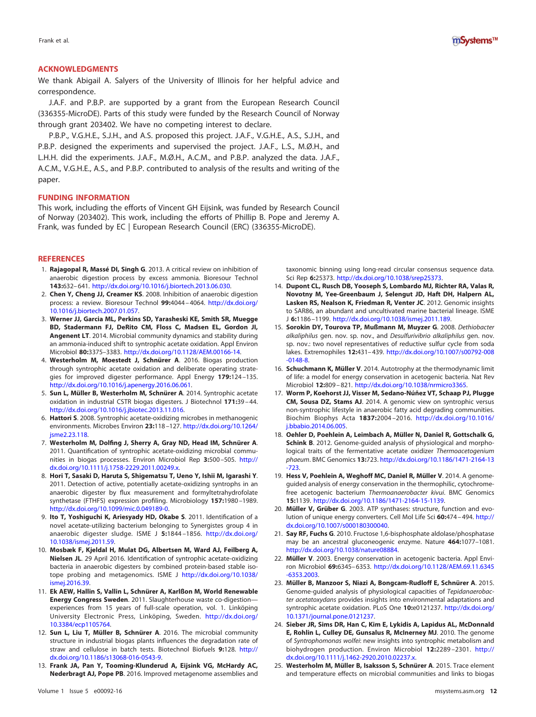

## **ACKNOWLEDGMENTS**

We thank Abigail A. Salyers of the University of Illinois for her helpful advice and correspondence.

J.A.F. and P.B.P. are supported by a grant from the European Research Council (336355-MicroDE). Parts of this study were funded by the Research Council of Norway through grant 203402. We have no competing interest to declare.

P.B.P., V.G.H.E., S.J.H., and A.S. proposed this project. J.A.F., V.G.H.E., A.S., S.J.H., and P.B.P. designed the experiments and supervised the project. J.A.F., L.S., M.Ø.H., and L.H.H. did the experiments. J.A.F., M.Ø.H., A.C.M., and P.B.P. analyzed the data. J.A.F., A.C.M., V.G.H.E., A.S., and P.B.P. contributed to analysis of the results and writing of the paper.

#### **FUNDING INFORMATION**

This work, including the efforts of Vincent GH Eijsink, was funded by Research Council of Norway (203402). This work, including the efforts of Phillip B. Pope and Jeremy A. Frank, was funded by EC | European Research Council (ERC) (336355-MicroDE).

#### <span id="page-11-0"></span>**REFERENCES**

- 1. **Rajagopal R, Massé DI, Singh G**. 2013. A critical review on inhibition of anaerobic digestion process by excess ammonia. Bioresour Technol **143:**632– 641. [http://dx.doi.org/10.1016/j.biortech.2013.06.030.](http://dx.doi.org/10.1016/j.biortech.2013.06.030)
- <span id="page-11-3"></span>2. **Chen Y, Cheng JJ, Creamer KS**. 2008. Inhibition of anaerobic digestion process: a review. Bioresour Technol **99:**4044 – 4064. [http://dx.doi.org/](http://dx.doi.org/10.1016/j.biortech.2007.01.057) [10.1016/j.biortech.2007.01.057.](http://dx.doi.org/10.1016/j.biortech.2007.01.057)
- <span id="page-11-1"></span>3. **Werner JJ, Garcia ML, Perkins SD, Yarasheski KE, Smith SR, Muegge BD, Stadermann FJ, DeRito CM, Floss C, Madsen EL, Gordon JI, Angenent LT**. 2014. Microbial community dynamics and stability during an ammonia-induced shift to syntrophic acetate oxidation. Appl Environ Microbiol **80:**3375–3383. [http://dx.doi.org/10.1128/AEM.00166-14.](http://dx.doi.org/10.1128/AEM.00166-14)
- <span id="page-11-2"></span>4. **Westerholm M, Moestedt J, Schnürer A**. 2016. Biogas production through syntrophic acetate oxidation and deliberate operating strategies for improved digester performance. Appl Energy **179:**124 –135. [http://dx.doi.org/10.1016/j.apenergy.2016.06.061.](http://dx.doi.org/10.1016/j.apenergy.2016.06.061)
- <span id="page-11-4"></span>5. **Sun L, Müller B, Westerholm M, Schnürer A**. 2014. Syntrophic acetate oxidation in industrial CSTR biogas digesters. J Biotechnol **171:**39 – 44. [http://dx.doi.org/10.1016/j.jbiotec.2013.11.016.](http://dx.doi.org/10.1016/j.jbiotec.2013.11.016)
- <span id="page-11-5"></span>6. **Hattori S**. 2008. Syntrophic acetate-oxidizing microbes in methanogenic environments. Microbes Environ **23:**118 –127. [http://dx.doi.org/10.1264/](http://dx.doi.org/10.1264/jsme2.23.118) isme2.23.118.
- <span id="page-11-6"></span>7. **Westerholm M, Dolfing J, Sherry A, Gray ND, Head IM, Schnürer A**. 2011. Quantification of syntrophic acetate-oxidizing microbial communities in biogas processes. Environ Microbiol Rep **3:**500 –505. [http://](http://dx.doi.org/10.1111/j.1758-2229.2011.00249.x) [dx.doi.org/10.1111/j.1758-2229.2011.00249.x.](http://dx.doi.org/10.1111/j.1758-2229.2011.00249.x)
- <span id="page-11-7"></span>8. **Hori T, Sasaki D, Haruta S, Shigematsu T, Ueno Y, Ishii M, Igarashi Y**. 2011. Detection of active, potentially acetate-oxidizing syntrophs in an anaerobic digester by flux measurement and formyltetrahydrofolate synthetase (FTHFS) expression profiling. Microbiology **157:**1980 –1989. [http://dx.doi.org/10.1099/mic.0.049189-0.](http://dx.doi.org/10.1099/mic.0.049189-0)
- <span id="page-11-8"></span>9. **Ito T, Yoshiguchi K, Ariesyady HD, Okabe S**. 2011. Identification of a novel acetate-utilizing bacterium belonging to Synergistes group 4 in anaerobic digester sludge. ISME J **5:**1844 –1856. [http://dx.doi.org/](http://dx.doi.org/10.1038/ismej.2011.59) [10.1038/ismej.2011.59.](http://dx.doi.org/10.1038/ismej.2011.59)
- <span id="page-11-9"></span>10. **Mosbæk F, Kjeldal H, Mulat DG, Albertsen M, Ward AJ, Feilberg A, Nielsen JL**. 29 April 2016. Identification of syntrophic acetate-oxidizing bacteria in anaerobic digesters by combined protein-based stable isotope probing and metagenomics. ISME J [http://dx.doi.org/10.1038/](http://dx.doi.org/10.1038/ismej.2016.39) [ismej.2016.39.](http://dx.doi.org/10.1038/ismej.2016.39)
- <span id="page-11-10"></span>11. **Ek AEW, Hallin S, Vallin L, Schnürer A, Karlßon M, World Renewable Energy Congress Sweden**. 2011. Slaughterhouse waste co-digestion experiences from 15 years of full-scale operation, vol. 1. Linköping University Electronic Press, Linköping, Sweden. [http://dx.doi.org/](http://dx.doi.org/10.3384/ecp1105764) [10.3384/ecp1105764.](http://dx.doi.org/10.3384/ecp1105764)
- <span id="page-11-11"></span>12. **Sun L, Liu T, Müller B, Schnürer A**. 2016. The microbial community structure in industrial biogas plants influences the degradation rate of straw and cellulose in batch tests. Biotechnol Biofuels **9:**128. [http://](http://dx.doi.org/10.1186/s13068-016-0543-9) [dx.doi.org/10.1186/s13068-016-0543-9.](http://dx.doi.org/10.1186/s13068-016-0543-9)
- <span id="page-11-12"></span>13. **Frank JA, Pan Y, Tooming-Klunderud A, Eijsink VG, McHardy AC, Nederbragt AJ, Pope PB**. 2016. Improved metagenome assemblies and

taxonomic binning using long-read circular consensus sequence data. Sci Rep **6:**25373. [http://dx.doi.org/10.1038/srep25373.](http://dx.doi.org/10.1038/srep25373)

- <span id="page-11-13"></span>14. **Dupont CL, Rusch DB, Yooseph S, Lombardo MJ, Richter RA, Valas R, Novotny M, Yee-Greenbaum J, Selengut JD, Haft DH, Halpern AL, Lasken RS, Nealson K, Friedman R, Venter JC**. 2012. Genomic insights to SAR86, an abundant and uncultivated marine bacterial lineage. ISME J **6:**1186 –1199. [http://dx.doi.org/10.1038/ismej.2011.189.](http://dx.doi.org/10.1038/ismej.2011.189)
- <span id="page-11-14"></span>15. **Sorokin DY, Tourova TP, Mußmann M, Muyzer G**. 2008. Dethiobacter alkaliphilus gen. nov. sp. nov., and Desulfurivibrio alkaliphilus gen. nov. sp. nov.: two novel representatives of reductive sulfur cycle from soda lakes. Extremophiles **12:**431– 439. [http://dx.doi.org/10.1007/s00792-008](http://dx.doi.org/10.1007/s00792-008-0148-8) [-0148-8.](http://dx.doi.org/10.1007/s00792-008-0148-8)
- <span id="page-11-15"></span>16. **Schuchmann K, Müller V**. 2014. Autotrophy at the thermodynamic limit of life: a model for energy conservation in acetogenic bacteria. Nat Rev Microbiol **12:**809 – 821. [http://dx.doi.org/10.1038/nrmicro3365.](http://dx.doi.org/10.1038/nrmicro3365)
- <span id="page-11-16"></span>17. **Worm P, Koehorst JJ, Visser M, Sedano-Núñez VT, Schaap PJ, Plugge CM, Sousa DZ, Stams AJ**. 2014. A genomic view on syntrophic versus non-syntrophic lifestyle in anaerobic fatty acid degrading communities. Biochim Biophys Acta **1837:**2004 –2016. [http://dx.doi.org/10.1016/](http://dx.doi.org/10.1016/j.bbabio.2014.06.005) [j.bbabio.2014.06.005.](http://dx.doi.org/10.1016/j.bbabio.2014.06.005)
- <span id="page-11-17"></span>18. **Oehler D, Poehlein A, Leimbach A, Müller N, Daniel R, Gottschalk G, Schink B**. 2012. Genome-guided analysis of physiological and morphological traits of the fermentative acetate oxidizer Thermoacetogenium phaeum. BMC Genomics **13:**723. [http://dx.doi.org/10.1186/1471-2164-13](http://dx.doi.org/10.1186/1471-2164-13-723) [-723.](http://dx.doi.org/10.1186/1471-2164-13-723)
- <span id="page-11-18"></span>19. **Hess V, Poehlein A, Weghoff MC, Daniel R, Müller V**. 2014. A genomeguided analysis of energy conservation in the thermophilic, cytochromefree acetogenic bacterium Thermoanaerobacter kivui. BMC Genomics **15:**1139. [http://dx.doi.org/10.1186/1471-2164-15-1139.](http://dx.doi.org/10.1186/1471-2164-15-1139)
- <span id="page-11-19"></span>20. **Müller V, Grüber G**. 2003. ATP synthases: structure, function and evolution of unique energy converters. Cell Mol Life Sci **60:**474 – 494. [http://](http://dx.doi.org/10.1007/s000180300040) [dx.doi.org/10.1007/s000180300040.](http://dx.doi.org/10.1007/s000180300040)
- <span id="page-11-21"></span><span id="page-11-20"></span>21. **Say RF, Fuchs G**. 2010. Fructose 1,6-bisphosphate aldolase/phosphatase may be an ancestral gluconeogenic enzyme. Nature **464:**1077–1081. [http://dx.doi.org/10.1038/nature08884.](http://dx.doi.org/10.1038/nature08884)
- <span id="page-11-22"></span>22. **Müller V**. 2003. Energy conservation in acetogenic bacteria. Appl Environ Microbiol **69:**6345– 6353. [http://dx.doi.org/10.1128/AEM.69.11.6345](http://dx.doi.org/10.1128/AEM.69.11.6345-6353.2003) [-6353.2003.](http://dx.doi.org/10.1128/AEM.69.11.6345-6353.2003)
- 23. **Müller B, Manzoor S, Niazi A, Bongcam-Rudloff E, Schnürer A**. 2015. Genome-guided analysis of physiological capacities of Tepidanaerobacter acetatoxydans provides insights into environmental adaptations and syntrophic acetate oxidation. PLoS One **10:**e0121237. [http://dx.doi.org/](http://dx.doi.org/10.1371/journal.pone.0121237) [10.1371/journal.pone.0121237.](http://dx.doi.org/10.1371/journal.pone.0121237)
- <span id="page-11-23"></span>24. **Sieber JR, Sims DR, Han C, Kim E, Lykidis A, Lapidus AL, McDonnald E, Rohlin L, Culley DE, Gunsalus R, McInerney MJ**. 2010. The genome of Syntrophomonas wolfei: new insights into syntrophic metabolism and biohydrogen production. Environ Microbiol **12:**2289 –2301. [http://](http://dx.doi.org/10.1111/j.1462-2920.2010.02237.x) [dx.doi.org/10.1111/j.1462-2920.2010.02237.x.](http://dx.doi.org/10.1111/j.1462-2920.2010.02237.x)
- <span id="page-11-24"></span>25. **Westerholm M, Müller B, Isaksson S, Schnürer A**. 2015. Trace element and temperature effects on microbial communities and links to biogas